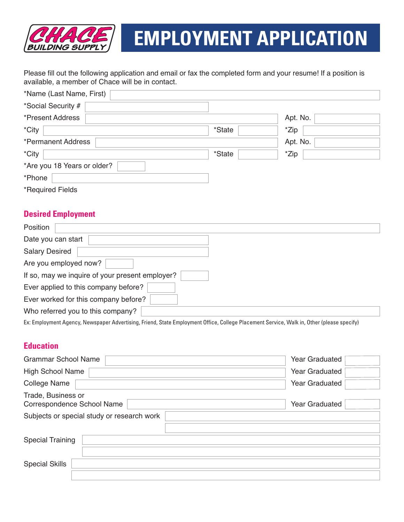

# **EMPLOYMENT APPLICATION**

Please fill out the following application and email or fax the completed form and your resume! If a position is available, a member of Chace will be in contact.

| *Name (Last Name, First)    |        |          |  |
|-----------------------------|--------|----------|--|
| *Social Security #          |        |          |  |
| *Present Address            |        | Apt. No. |  |
| *City                       | *State | *Zip     |  |
| *Permanent Address          |        | Apt. No. |  |
| *City                       | *State | *Zip     |  |
| *Are you 18 Years or older? |        |          |  |
| *Phone                      |        |          |  |
| *Required Fields            |        |          |  |

## **Desired Employment**

| Position              |                                                 |
|-----------------------|-------------------------------------------------|
| Date you can start    |                                                 |
| <b>Salary Desired</b> |                                                 |
| Are you employed now? |                                                 |
|                       | If so, may we inquire of your present employer? |
|                       | Ever applied to this company before?            |
|                       | Ever worked for this company before?            |
|                       | Who referred you to this company?               |
|                       |                                                 |

Ex: Employment Agency, Newspaper Advertising, Friend, State Employment Office, College Placement Service, Walk in, Other (please specify)

## **Education**

| <b>Grammar School Name</b>                       | Year Graduated |  |  |
|--------------------------------------------------|----------------|--|--|
| <b>High School Name</b>                          | Year Graduated |  |  |
| <b>College Name</b>                              | Year Graduated |  |  |
| Trade, Business or<br>Correspondence School Name | Year Graduated |  |  |
| Subjects or special study or research work       |                |  |  |
|                                                  |                |  |  |
| <b>Special Training</b>                          |                |  |  |
|                                                  |                |  |  |
| <b>Special Skills</b>                            |                |  |  |
|                                                  |                |  |  |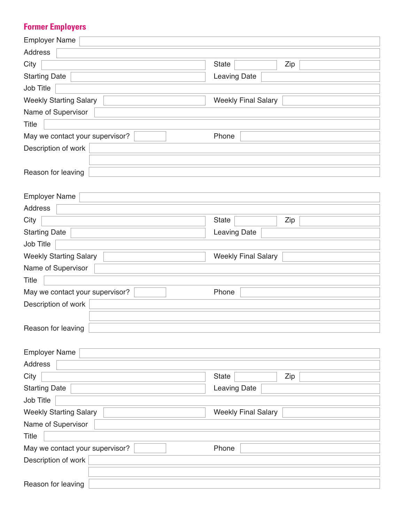## **Former Employers**

| <b>Employer Name</b>            |                            |  |
|---------------------------------|----------------------------|--|
| Address                         |                            |  |
| City                            | <b>State</b><br>Zip        |  |
| <b>Starting Date</b>            | Leaving Date               |  |
| Job Title                       |                            |  |
| <b>Weekly Starting Salary</b>   | <b>Weekly Final Salary</b> |  |
| Name of Supervisor              |                            |  |
| <b>Title</b>                    |                            |  |
| May we contact your supervisor? | Phone                      |  |
| Description of work             |                            |  |
|                                 |                            |  |
| Reason for leaving              |                            |  |
|                                 |                            |  |
| <b>Employer Name</b>            |                            |  |
| Address                         |                            |  |
| City                            | <b>State</b><br>Zip        |  |
| <b>Starting Date</b>            | Leaving Date               |  |
| Job Title                       |                            |  |
| <b>Weekly Starting Salary</b>   | <b>Weekly Final Salary</b> |  |
| Name of Supervisor              |                            |  |
| Title                           |                            |  |
| May we contact your supervisor? | Phone                      |  |
| Description of work             |                            |  |
|                                 |                            |  |
| Reason for leaving              |                            |  |
|                                 |                            |  |
| <b>Employer Name</b>            |                            |  |
| Address                         |                            |  |
| City                            | <b>State</b><br>Zip        |  |
| <b>Starting Date</b>            | <b>Leaving Date</b>        |  |
| Job Title                       |                            |  |
| <b>Weekly Starting Salary</b>   | <b>Weekly Final Salary</b> |  |
| Name of Supervisor              |                            |  |
| Title                           |                            |  |
| May we contact your supervisor? | Phone                      |  |
| Description of work             |                            |  |
|                                 |                            |  |
| Reason for leaving              |                            |  |